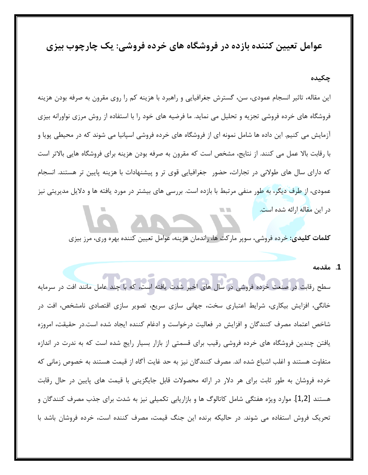عوامل تعیین کننده بازده در فروشگاه های خرده فروشی: یک چارچوب بیزی

## چکیده

ین مقاله، تاثیر انسجام عمودی، سن، گسترش جغرافیایی و راهبرد با هزینه کم را روی مقرون به صرفه بودن هزینه فروشگاه های خرده فروشی تجزیه و تحلیل می نماید. ما فرضیه های خود را با استفاده از روش مرزی نواورانه بیزی آزمایش می کنیم. این داده ها شامل نمونه ای از فروشگاه های خرده فروشی اسپانیا می شوند که در محیطی پویا و با رقابت بالا عمل می کنند. از نتایج، مشخص است که مقرون به صرفه بودن هزینه برای فروشگاه هایی بالاتر است كه داراي سال هاي طولاني در تجارات، حضور بجغرافيايي قوى تر و پيشنهادات با هزينه پايين تر هستند. انسجام عمودی، از طرف دیگر، به طور منفی مرتبط با بازده است. بررسی های بیشتر در مورد یافته ها و دلایل مدیریتی نیز در این مقاله ارائه شده است.

**كلمات كليدي:** خرده فروشي، سوپر ماركت ها، راندمان هزينه، عوامل تعيين كننده بهره ورى، مرز بيزى

#### **( ) .1**

سطح رقابت در صنعت خرده فروشی در سال های اخیر شدت یافته است، که با چند عامل مانند افت در سرمایه خانگی، افزایش بیکاری، شرایط اعتباری سخت، جهانی سازی سریع، تصویر سازی اقتصادی نامشخص، افت در شاخص اعتماد مصرف كنندگان و افزايش در فعاليت درخواست و ادغام كننده ايجاد شده است.در حقيقت، امروزه یافتن چندین فروشگاه های خرده فروشی رقیب برای قسمتی از بازار بسیار رایج شده است که به ندرت در اندازه متفاوت هستند و اغلب اشباع شده اند. مصرف كنندگان نيز به حد غايت آگاه از قيمت هستند به خصوص زماني كه خرده فروشان به طور ثابت برای هر دلار در ارائه محصولات قابل جایگزینی با قیمت های پایین در حال رقابت هستند [1,2]. موارد ویژه هفتگی شامل کاتالوگ ها و بازاریابی تکمیلی نیز به شدت برای جذب مصرف کنندگان و تحریک فروش استفاده می شوند. در حالیکه برنده این جنگ قیمت، مصرف کننده است، خرده فروشان باشد با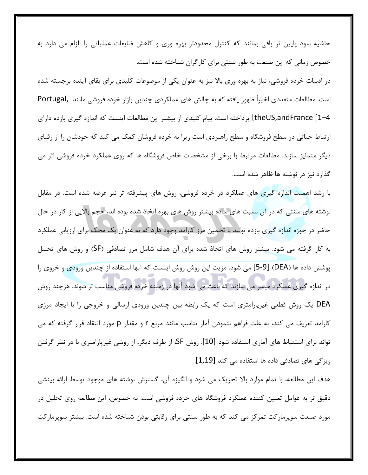حاشیه سود پایین تر باقی بمانند که کنترل محدودتر بهره وری و کاهش ضایعات عملیاتی را الزام می دارد به خصوص زمانی که این صنعت به طور سنتی برای کارگران شناخته شده است.

در ادبیات خرده فروشی، نیاز به بهره وری بالا نیز به عنوان یکی از موضوعات کلیدی برای بقای آینده برجسته شده است. مطالعات متعددي اخيراً ظهور يافته كه به چالش هاي عملكردي چندين بازار خرده فروشي مانند ,Portugal theUS,andFrance [1–4] پرداخته است. پیام کلیدی از بیشتر این مطالعات اینست که اندازه گیری بازده دارای ارتباط حیاتی در سطح فروشگاه و سطح راهبردی است زیرا به خرده فروشان کمک می کند که خودشان را از رقبای دیگر متمایز سازند. مطالعات مرتبط با برخی از مشخصات خاص فروشگاه ها که روی عملکرد خرده فروشی اثر می گذارد نیز در نوشته ها ظاهر شده است.

با رشد اهمیت اندازه گیری های عملکرد در خرده فروشی، روش های پیشرفته تر نیز عرضه شده است. در مقابل نوشته های سنتی که در آن نسبت های ساده بیشتر روش های بهره اتخاذ شده بوده اند، حجم بالایی از کار در حال حاضر در حوزه اندازه گیری بازده تولید با تخمین مرز کارامد وجود دارد که به عنوان یک محک برای ارزیابی عملکرد به کار گرفته می شود. بیشتر روش های اتخاذ شده برای آن هدف شامل مرز تصادفی (SF) و روش های تحلیل پوشش داده ها (DEA) [9-5] می شود. مزیت این روش روش اینست که آنها استفاده از چندین ورودی و خروی را در اندازه گیری عملکرد میسر می سازند که باعث می شود آنها در زمینه خرده فروشی مناسب تر شوند. هرچند روش DEA یک روش قطعی غیرپارامتری است که یک رابطه بین چندین ورودی ارسالی و خروجی را با ایجاد مرزی کارامد تعریف می کند، به علت فراهم ننمودن آمار تناسب مانند مربع r و مقدار p مورد انتقاد قرار گرفته که می تواند برای استنباط های آماری استفاده شود [10]. روش SF، از طرف دیگر، از روشی غیرپارامتری با در نظر گرفتن ویژگی های تصادفی داده ها استفاده می کند [1,19].

هدف این مطالعه، با تمام موارد بالا تحریک می شود و انگیزه آن، گسترش نوشته های موجود توسط ارائه بینشی دقیق تر به عوامل تعیین کننده عملکرد فروشگاه های خرده فروشی است. به خصوص، این مطالعه روی تحلیل در مورد صنعت سوپرمارکت تمرکز می کند که به طور سنتی برای رقابتی بودن شناخته شده است. بیشتر سوپرمارکت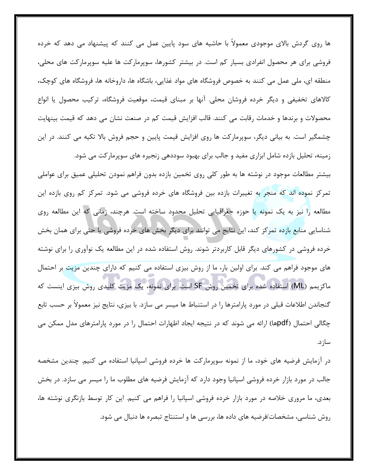ها روی گردش بالای موجودی معمولاً با حاشیه های سود پایین عمل می کنند که پیشنهاد می دهد که خرده فروشی برای هر محصول انفرادی بسیار کم است. در بیشتر کشورها، سوپرمارکت ها علیه سوپرمارکت های محلی، منطقه ای، ملی عمل می کنند به خصوص فروشگاه های مواد غذایی، باشگاه ها، داروخانه ها، فروشگاه های کوچک، كالاهاى تخفيفي و ديگر خرده فروشان محلي. آنها بر مبناى قيمت، موقعيت فروشگاه، تركيب محصول يا انواع محصولات و برندها و خدمات رقابت می کنند. قالب افزایش قیمت کم در صنعت نشان می دهد که قیمت بینهایت چشمگیر است. به بیانی دیگر، سوپرمارکت ها روی افزایش قیمت پایین و حجم فروش بالا تکیه می کنند. در این زمینه، تحلیل بازده شامل ابزاری مفید و جالب برای بهبود سوددهی زنجیره های سوپرمارکت می شود.

بیشتر مطالعات موجود در نوشته ها به طور کلی روی تخمین بازده بدون فراهم نمودن تحلیلی عمیق برای عواملی تمرکز نموده اند که منجر به تغییرات بازده بین فروشگاه های خرده فروشی می شود. تمرکز کم روی بازده این مطالعه را نیز به یک نمونه یا حوزه جغرافیایی تحلیل محدود ساخته است. هرچند، زمانی که این مطالعه روی شناسایی منابع بازده تمرکز کند، این نتایج می توانند برای دیگر بخش های خرده فروشی یا حتی برای همان بخش خرده فروشی در کشورهای دیگر قابل کاربردتر شوند. روش استفاده شده در این مطالعه یک نوآوری را برای نوشته های موجود فراهم می کند. برای اولین بار، ما از روش بیزی استفاده می کنیم که دارای چندین مزیت بر احتمال ماکزیمم (ML) استفاده شده برای تخمین روش SF است. برای نمونه، یک مزیت کلیدی روش بیزی اینست که گنجاندن اطلاعات قبلی در مورد پارامترها را در استنباط ها میسر می سازد. با بیزی، نتایج نیز معمولاً بر حسب تابع چگالی احتمال (pdfها) ارائه می شوند که در نتیجه ایجاد اظهارات احتمال را در مورد پارامترهای مدل ممکن می ساز د.

در آزمایش فرضیه های خود، ما از نمونه سوپرمارکت ها خرده فروشی اسپانیا استفاده می کنیم. چندین مشخصه جالب در مورد بازار خرده فروشی اسپانیا وجود دارد که آزمایش فرضیه های مطلوب ما را میسر می سازد. در بخش بعدی، ما مروری خلاصه در مورد بازار خرده فروشی اسپانیا را فراهم می کنیم. این کار توسط بازنگری نوشته ها، روش شناسی، مشخصات/فرضیه های داده ها، بررسی ها و استنتاج تبصره ها دنبال می شود.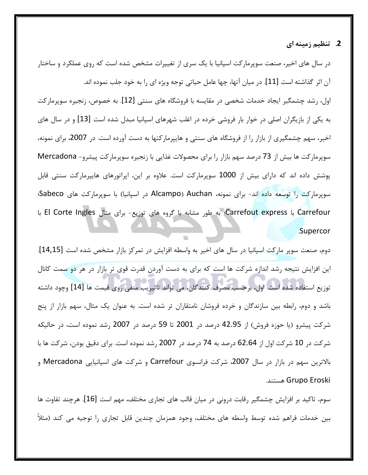## 2. تنظیم زمینه ای

در سال های اخیر، صنعت سوپرمارکت اسپانیا با یک سری از تغییرات مشخص شده است که روی عملکرد و ساختار آن اثر گذاشته است [11]. در ميان آنها، چها عامل حياتي توجه ويژه اي را به خود جلب نموده اند. اول، رشد چشمگیر ایجاد خدمات شخصی در مقایسه با فروشگاه های سنتی [12]. به خصوص، زنجیره سوپرمارکت به یکی از بازیگران اصلی در خوار بار فروشی خرده در اغلب شهرهای اسپانیا مبدل شده است [13] و در سال های اخیر، سهم چشمگیری از بازار را از فروشگاه های سنتی و هایپرمارکتها به دست آورده است. در 2007، برای نمونه، سوپرماركت ها بيش از 73 درصد سهم بازار را براي محصولات غذايي با زنجيره سوپرماركت پيشرو- Mercadona پوشش داده اند که دارای بیش از 1000 سوپرمارکت است. علاوه بر این، اپراتورهای هایپرمارکت سنتی قابل سوپرماركت را توسعه داده اند- براى نمونه، Alcampo) Auchan در اسپانيا) با سوپرماركت هاى Sabeco؛ Carrefout express با Carrefout و مشابه با گروه های توزیع- برای مثال El Corte Ingles با . Supercor

دوم، صنعت سوپر ماركت اسپانيا در سال هاى اخير به واسطه افزايش در تمركز بازار مشخص شده است [14,15]. ین افزایش نتیجه رشد اندازه شرکت ها است که برای به دست آوردن قدرت قوی تر بازار در هر دو سمت کانال توزيع استفاده شده است. اول، برحسب مصرف كنندگان، مي تواند تاثيريب منفي روي قيمت ها [14] وچود داشته باشد و دوم، رابطه بین سازندگان و خرده فروشان نامتقاران تر شده است. به عنوان یک مثال، سهم بازار از پنج شركت پيشرو (يا حوزه فروش) از 42.95 درصد در 2001 تا 59 درصد در 2007 رشد نموده است، در حاليكه شركت در 10 شركت اول از 62.64 درصد به 74 درصد در 2007 رشد نموده است. براي دقيق بودن، شركت ها با بالاترين سهم در بازار در سال 2007، شركت فرانسوي Carrefour و شركت هاي اسپانيايي Mercadona و .1  Grupo Eroski

سوم، تاكيد بر افزايش چشمگير رقابت دروني در ميان قالب هاي تجاري مختلف، مهم است [16]. هرچند تفاوت ها بين خدمات فراهم شده توسط واسطه هاي مختلف، وجود همزمان چندين قابل تجاري را توجيه مي كند (مثلاً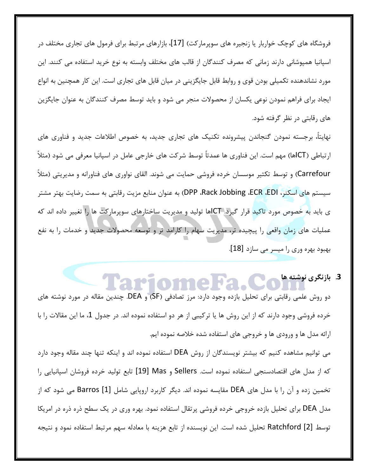فروشگاه های کوچک خواربار یا زنجیره های سوپرمارکت) [17]، بازارهای مرتبط برای فرمول های تجاری مختلف در اسپانیا همپوشانی دارند زمانی که مصرف کنندگان از قالب های مختلف وابسته به نوع خرید استفاده می کنند. این مورد نشاندهنده تکمیلی بودن قوی و روابط قابل جایگزینی در میان قابل های تجاری است. این کار همچنین به انواع یجاد برای فراهم نمودن نوعی یکسان از محصولات منجر می شود و باید توسط مصرف کنندگان به عنوان جایگزین های رقابتی در نظر گرفته شود.

نهايتاً، برجسته نمودن گنجاندن پيشرونده تكنيک هاى تجارى جديد، به خصوص اطلاعات جديد و فناورى هاى ارتباطي (ICTها) مهم است. اين فناوري ها عمدتاً توسط شركت هاي خارجي عامل در اسپانيا معرفي مي شود (مثلاً Carrefour) و توسط تكثير موسسان خرده فروشي حمايت مي شوند. القاي نواوري هاي فناورانه و مديريتي (مثلاً سيستم هاي اسكنر، DPP ،Rack Jobbing ،ECR ،EDI) به عنوان منابع مزيت رقابتي به سمت رضايت بهتر مشتر ی باید به خصوص مورد تاکید قرار گیرد. ICTها تولید و مدیریت ساختارهای سوپرمارکت ها را تغییر داده اند که عملیات های زمان واقعی را پیچیده تر، مدیریت سهام را کارامد تر و توسعه محصولات جدید و خدمات را به نفع بهبود بهره وري را ميسر مي سازد [18].

<mark>3</mark>. بازنگری نوشته ها</mark>

دو روش علمی رقابتی برای تحلیل بازده وجود دارد: مرز تصادفی (SF) و DEA. چندین مقاله در مورد نوشته های خرده فروشی وجود دارند که از این روش ها یا ترکیبی از هر دو استفاده نموده اند. در جدول 1، ما این مقالات را با ارائه مدل ها و ورودی ها و خروجی های استفاده شده خلاصه نموده ایم.

می توانیم مشاهده کنیم که بیشتر نویسندگان از روش DEA استفاده نموده اند و اینکه تنها چند مقاله وجود دارد كه از مدل های اقتصادسنجی استفاده نموده است. Sellers و Mas آلاو I9] تابع تولید خرده فروشان اسپانیایی را تخمین زده و آن را با مدل های DEA مقایسه نموده اند. دیگر کاربرد اروپایی شامل [1] Barros می شود که از مدل DEA برای تحلیل بازده خروجی خرده فروشی پرتقال استفاده نمود. بهره وری در یک سطح ذره ذره در امریکا توسط Ratchford [2] تحليل شده است. اين نويسنده از تابع هزينه با معادله سهم مرتبط استفاده نمود و نتيجه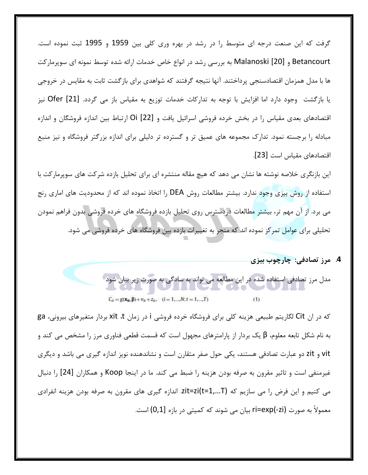گرفت که این صنعت درجه ای متوسط را در رشد در بهره وری کلی بین 1959 و 1995 ثبت نموده است. Betancourt و Malanoski [20] به بررسی رشد در انواع خاص خدمات ارائه شده توسط نمونه ای سوپرمارکت ها با مدل همزمان اقتصادسنجی پرداختند. آنها نتیجه گرفتند که شواهدی برای بازگشت ثابت به مقایس در خروجی یا بازگشت وجود دارد اما افزایش با توجه به تدارکات خدمات توزیع به مقیاس باز می گردد. [21] Ofer نیز اقتصادهای بعدی مقیاس را در بخش خرده فروشی اسرائیل یافت و [22] Oi ارتباط بین اندازه فروشگان و اندازه مبادله را برجسته نمود. تدارک مجموعه های عمیق تر و گسترده تر دلیلی برای اندازه بزرگتر فروشگاه و نیز منبع اقتصادهای مقیاس است [23].

این بازنگری خلاصه نوشته ها نشان می دهد که هیچ مقاله منتشره ای برای تحلیل بازده شرکت های سوپرمارکت با استفاده از روش بیزی وجود ندارد. بیشتر مطالعات روش DEA را اتخاذ نموده اند که از محدودیت های اماری رنج می برد. از آن مهم تر، بیشتر مطالعات دردسترس روی تحلیل بازده فروشگاه های خرده فروشی بدون فراهم نمودن تحلیلی برای عوامل تمر کز نموده اند که منجر به تغییرات بازده بین فروشگاه های خرده فروشی می شود.

4. مرز تصادفی: چارچوب بیزی

مدل مرز تصادفی استفاده شده در این مطالعه می تواند به سادگی به صورت زیر بیان شود

 $C_{it} = g(\mathbf{x}_{it}, \boldsymbol{\beta}) + v_{it} + z_{it}, \quad (i = 1, ..., N; t = 1, ..., T)$  $(1)$ 

که در ان Cit لگاریتم طبیعی هزینه کلی برای فروشگاه خرده فروشی i در زمان xit ،t بردار متغیرهای بیرونی، ga به نام شکل تابعه معلوم، β یک بردار از پارامترهای مجهول است که قسمت قطعی فناوری مرز را مشخص می کند و vit و zit دو عبارت تصادفی هستند، یکی حول صفر متقارن است و نشاندهنده نویز اندازه گیری می باشد و دیگری غیرمنفی است و تاثیر مقرون به صرفه بودن هزینه را ضبط می کند. ما در اینجا Koop و همکاران [24] را دنبال می کنیم و این فرض را می سازیم که zit=zi(t=1,...T). اندازه گیری های مقرون به صرفه بودن هزینه انفرادی معمولاً به صورت ri=exp(-zi) بيان مي شوند كه كميتي در بازه [0,1) است.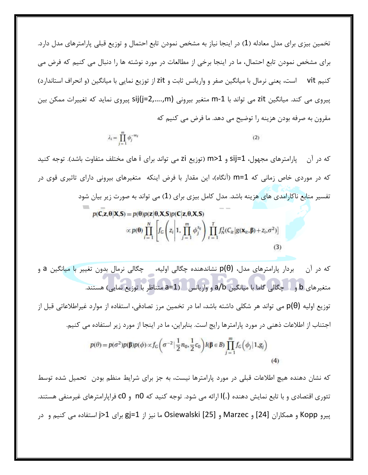تخمین بیزی برای مدل معادله (1) در اینجا نیاز به مشخص نمودن تابع احتمال و توزیع قبلی پارامترهای مدل دارد. برای مشخص نمودن تابع احتمال، ما در اینجا برخی از مطالعات در مورد نوشته ها را دنبال می کنیم که فرض می کنیم vit است، یعنی نرمال با میانگین صفر و واریانس ثابت و zit از توزیع نمایی با میانگین (و انحراف استاندارد) پیروی می کند. میانگین zit می تواند با m-1 متغیر بیرونی sij(j=2,....,m) پیروی نماید که تغییرات ممکن بین مقرون به صرفه بودن هزینه را توضیح می دهد. ما فرض می کنیم که

$$
\lambda_i = \prod_{j=1}^m \phi_j^{-w_j} \tag{2}
$$

که در آن پارامترهای مجهول، sij=1 و m>1 (توزیع zi می تواند برای i های مختلف متفاوت باشد). توجه کنید که در موردی خاص زمانی که m=1 (آنگاه)، این مقدار با فرض اینکه متغیرهای بیرونی دارای تاثیری قوی در تفسیر منابع ناکارامدی های هزینه باشد. مدل کامل بیزی برای (1) می تواند به صورت زیر بیان شود

$$
p(\mathbf{C}, \mathbf{z}, \boldsymbol{\theta} | \mathbf{X}, \mathbf{S}) = p(\boldsymbol{\theta}) p(\mathbf{z} | \boldsymbol{\theta}, \mathbf{X}, \mathbf{S}) p(\mathbf{C} | \mathbf{z}, \boldsymbol{\theta}, \mathbf{X}, \mathbf{S})
$$

$$
\propto p(\boldsymbol{\theta}) \prod_{i=1}^{N} \left[ f_G \left( z_i \middle| 1, \prod_{j=1}^{m} \phi_j^{s_{ij}} \right) \prod_{t=1}^{T} f_N^1(C_{it} | g(\mathbf{x}_{it}, \boldsymbol{\beta}) + z_i, \sigma^2) \right]
$$
(3)

$$
p(\theta) = p(\sigma^2)p(\beta)p(\phi) \propto f_G\left(\sigma^{-2}|\frac{1}{2}n_0, \frac{1}{2}c_0\right)I(\beta \in B)\prod_{j=1}^m f_G\left(\phi_j|1, g_j\right)
$$
\n(4)

که نشان دهنده هیچ اطلاعات قبلی در مورد پارامترها نیست، به جز برای شرایط منظم بودن تحمیل شده توسط تئوري اقتصادي و با تابع نمايش دهنده (.)I ارائه مي شود. توجه كنيد كه n0 و c0 فراپارامترهاي غيرمنفي هستند. پیرو Kopp و همکاران [24] و Marzec و Osiewalski [25] ما نیز از gj=1 برای j>1 استفاده می کنیم و در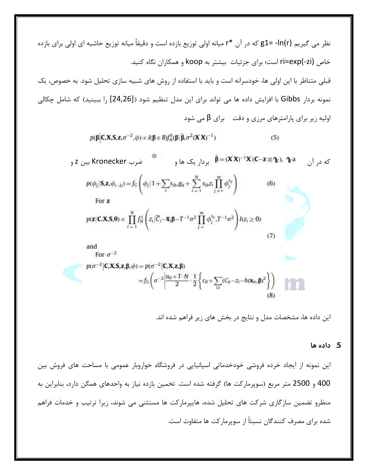$$
p(\boldsymbol{\beta}|\mathbf{C},\mathbf{X},\mathbf{S},\mathbf{z},\sigma^{-2},\phi) \propto I(\boldsymbol{\beta} \in B) f_N^k(\boldsymbol{\beta}|\hat{\boldsymbol{\beta}},\sigma^2(\mathbf{X}'\mathbf{X})^{-1})
$$
\n(5)

که در آن ۲۵  $\hat{\mathfrak{g}} = (\mathbf{X}^\prime \mathbf{X})^{-1} \mathbf{X}^\prime$ (C—z ⊗  $\mathbf{\hat{q}}$ بین Z و Kronecker بین Z و





این داده ها، مشخصات مدل و نتایج در بخش های زیر فراهم شده اند.

#### 5. داده ها

این نمونه از ایجاد خرده فروشی خودخدماتی اسپانیایی در فروشگاه خواروبار عمومی با مساحت های فروش بین 400 و 2500 متر مربع (سوپرماركت ها) گرفته شده است. تخمين بازده نياز به واحدهاي همگن دارد، بنابراين به منظرو تضمین سازگاری شرکت های تحلیل شده، هایپرمارکت ها مستثنی می شوند، زیرا ترتیب و خدمات فراهم شده برای مصرف کنندگان نسبتاً از سویرمارکت ها متفاوت است.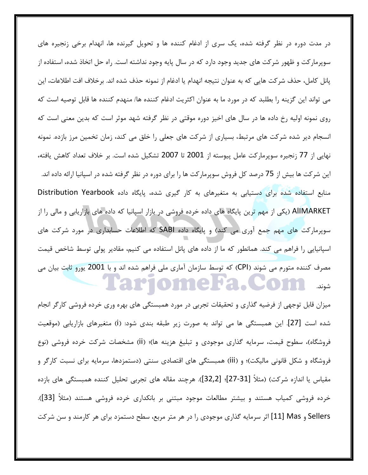در مدت دوره در نظر گرفته شده، یک سری از ادغام کننده ها و تحویل گیرنده ها، انهدام برخی زنجیره های سوپرمارکت و ظهور شرکت های جدید وجود دارد که در سال پایه وجود نداشته است. راه حل اتخاذ شده، استفاده از پانل كامل، حذف شركت هايي كه به عنوان نتيجه انهدام يا ادغام از نمونه حذف شده اند. برخلاف افت اطلاعات، اين می تواند این گزینه را بطلبد که در مورد ما به عنوان اکثریت ادغام کننده ها/ منهدم کننده ها قابل توصیه است که روی نمونه اولیه رخ داده ها در سال های اخیز دوره موقتی در نظر گرفته شهد موثر است که بدین معنی است که انسجام دیر شده شرکت های مرتبط، بسیاری از شرکت های جعلی را خلق می کند، زمان تخمین مرز بازده. نمونه نهایی از 77 زنجیره سوپرمارکت عامل پیوسته از 2001 تا 2007 تشکیل شده است. بر خلاف تعداد کاهش یافته، این شرکت ها بیش از 75 درصد کل فروش سوپرمارکت ها را برای دوره در نظر گرفته شده در اسپانیا ارائه داده اند. منابع استفاده شده برای دستیابی به متغیرهای به کار گیری شده، پایگاه داده Distribution Yearbook AlIMARKET (یکی از مهم ترین پایگاه های داده خرده فروشی در بازار اسپانیا که داده های بازاریابی و مالی را از سوپرمارکت های مهم جمع آوری می کند) و پایگاه داده SABI که اطلاعات حسابداری در مورد شرکت های اسپانیایی را فراهم می کند. همانطور که ما از داده های پانل استفاده می کنیم، مقادیر پولی توسط شاخص قیمت مصرف کننده متورم می شوند (CPI) که توسط سازمان آماری ملی فراهم شده اند و با 2001 یورو ثابت بیان می ariomera.Com

میزان قابل توجهی از فرضیه گذاری و تحقیقات تجربی در مورد همبستگی های بهره وری خرده فروشی کارگر انجام شده است [27]. این همبستگی ها می تواند به صورت زیر طبقه بندی شود: (i) متغیرهای بازاریابی (موقعیت فروشگاه)، سطوح قیمت، سرمایه گذاری موجودی و تبلیغ هزینه ها)؛ (ii) مشخصات شرکت خرده فروشی (نوع فروشگاه و شکل قانونی مالیکت)؛ و (iii) همبستگی های اقتصادی سنتی (دستمزدها، سرمایه برای نسبت کارگر و مقياس يا اندازه شركت) (مثلاً [31-27]؛ [32,2]). هرچند مقاله هاي تجربي تحليل كننده همبستگي هاي بازده خرده فروشی کمیاب هستند و بیشتر مطالعات موجود مبتنی بر بانکداری خرده فروشی هستند (مثلاً [33]). Sellers و Mas ] [11] اثر سرمایه گذاری موجودی را در هر متر مربع، سطح دستمزد برای هر کارمند و سن شرکت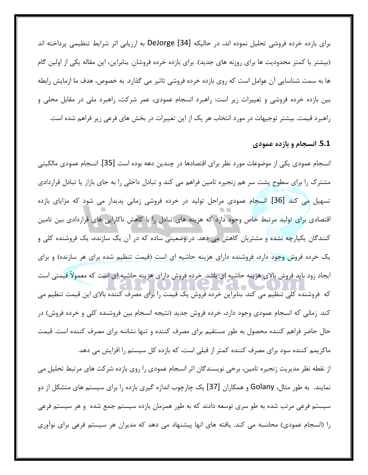براي بازده خرده فروشي تحليل نموده اند، در حاليكه [34] DeJorge به ارزيابي اثر شرايط تنظيمي پرداخته اند (بیشتر یا کمتر محدودیت ها برای روزنه های جدید). برای بازده خرده فروشان. بنابراین، این مقاله یکی از اولین گام ها به سمت شناسایی آن عوامل است که روی بازده خرده فروشی تاثیر می گذارد. به خصوص، هدف ما ازمایش رابطه بین بازده خرده فروشی و تغییرات زیر است: راهبرد انسجام عمودی، عمر شرکت، راهبرد ملی در مقابل محلی و راهبرد قیمت. بیشتر توجیهات در مورد انتخاب هر یک از این تغییرات در بخش های فرعی زیر فراهم شده است.

#### 5.1. انسجام و بازده عمودي

انسجام عمودی یکی از موضوعات مورد نظر برای اقتصادها در چندین دهه بوده است [35]. انسجام عمودی مالکیتی مشترک را برای سطوح پشت سر هم زنجیره تامین فراهم می کند و تبادل داخلی را به جای بازار یا تبادل قراردادی تسهیل <mark>می کند [36]. انسجا</mark>م عمودی مراحل تولید در خرده فروشی زمانی پدیدار می شود که مزایای بازده اقتصادی برای تولید مرتبط خاص وجود دارد که هزینه های تبادل را با کاهش ناکارایی های قراردادی بین تامین کنندگان یکپارچه نشده و مشتریان کاهش می دهد. در وضعیتی ساده که در آن یک سازنده، یک فروشنده کلی و یک خرده فروش وجود دارد، فروشنده دارای هزینه حاشیه ای است (قیمت تنظیم شده برای هر سازنده) و برای ایجاد زود باید فروش بالای هزینه حاشیه ای باشد. خرده فروش دارای هزینه حاشیه ای است که معمولاً قیمتی است که فروشنده کلی تنظیم می کند. بنابراین خرده فروش یک قیمت را برای مصرف کننده بالای این قیمت تنظیم می کند. زمانی که انسجام عمودی وجود دارد، خرده فروش جدید (نتیجه انسجام بین فروشنده کلی و خرده فروش) در حال حاضر فراهم کننده محصول به طور مستقیم برای مصرف کننده و تنها نشاننه برای مصرف کننده است. قیمت ماکزیمم کننده سود برای مصرف کننده کمتر از قبلی است، که بازده کل سیستم را افزایش می دهد.

از نقطه نظر مدیریت زنجیره تامین، برخی نویسندگان اثر انسجام عمودی را روی بازده شرکت های مرتبط تحلیل می نمایند. به طور مثال، Golany و همکاران [37] یک چارچوب اندازه گیری بازده را برای سیستم های متشکل از دو سیستم فرعی مرتب شده به طو سری توسعه دادند که به طور همزمان بازده سیستم جمع شده و هر سیستم فرعی را (انسجام عمودی) محاسبه می کند. یافته های انها پیشنهاد می دهد که مدیران هر سیستم فرعی برای نوآوری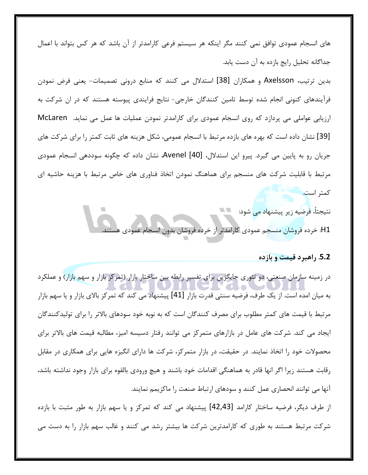های انسجام عمودی توافق نمی کنند مگر اینکه هر سیستم فرعی کارامدتر از آن باشد که هر کس بتواند با اعمال جداگانه تحلیل رایج بازده به آن دست یابد.

بدين ترتيب، Axelsson و همكاران [38] استدلال مي كنند كه منابع دروني تصميمات- يعني فرض نمودن فرآیندهای کنونی انجام شده توسط تامین کنندگان خارجی- نتایج فرایندی پیوسته هستند که در ان شرکت به ارزیابی عواملی می پردازد که روی انسجام عمودی برای کارامدتر نمودن عملیات ها عمل می نماید. McLaren [39] نشان داده است که بهره های بازده مرتبط با انسجام عمومی، شکل هزینه های ثابت کمتر را برای شرکت های جریان رو به پایین می گیرد. پیرو این استدلال، Avenel [40]، نشان داده که چگونه سوددهی انسجام عمودی مرتبط با قابلیت شرکت های منسجم برای هماهنگ نمودن اتخاذ فناوری های خاص مرتبط با هزینه حاشیه ای

كمتر است. نتیجتاً، فرضیه زیر پیشنهاد می شود: H1: خرده فروشان منسجم عمودي كارامدتر از خرده فروشان بدون انسجام عمودي هستند.

# <mark>5.2</mark> راهبرد قیمت و بازده

در زمینه سازمان صنعتی، دو تئوری جایگزین برای تفسیر رابطه بین ساختار بازار (تمرکز بازار و سهم بازار) و عملکرد به میان امده است. از یک طرف، فرضیه سنتی قدرت بازار [41] پیشنهاد می کند که تمرکز بالای بازار و یا سهم بازار مرتبط با قیمت های کمتر مطلوب برای مصرف کنندگان است که به نوبه خود سودهای بالاتر را برای تولیدکنندگان یجاد می کند. شرکت های عامل در بازارهای متمرکز می توانند رفتار دسیسه امیز، مطالبه قیمت های بالاتر برای محصولات خود را اتخاذ نمایند. در حقیقت، در بازار متمرکز، شرکت ها دارای انگیزه هایی برای همکاری در مقابل رقابت هستند زيرا اگر انها قادر به هماهنگي اقدامات خود باشند و هيچ ورودي بالقوه براي بازار وجود نداشته باشد، آنها می توانند انحصاری عمل کنند و سودهای ارتباط صنعت را ماکزیمم نمایند. از طرف دیگر، فرضیه ساختار کارامد [42,43] پیشنهاد می کند که تمرکز و یا سهم بازار به طور مثبت با بازده شرکت مرتبط هستند به طوری که کارامدترین شرکت ها بیشتر رشد می کنند و غالب سهم بازار را به دست می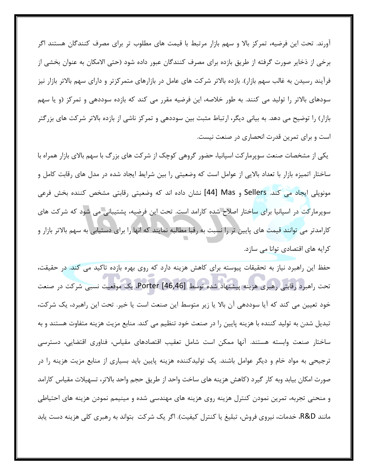آورند. تحت این فرضیه، تمرکز بالا و سهم بازار مرتبط با قیمت های مطلوب تر برای مصرف کنندگان هستند اگر برخی از ذخایر صورت گرفته از طریق بازده برای مصرف کنندگان عبور داده شود (حتی الامکان به عنوان بخشی از فرایند رسیدن به غالب سهم بازار). بازده بالاتر شرکت های عامل در بازارهای متمرکزتر و دارای سهم بالاتر بازار نیز سودهای بالاتر را تولید می کنند. به طور خلاصه، این فرضیه مقرر می کند که بازده سوددهی و تمرکز (و یا سهم بازار) را توضیح می دهد. به بیانی دیگر، ارتباط مثبت بین سوددهی و تمرکز ناشی از بازده بالاتر شرکت های بزرگتر است و برای تمرین قدرت انحصاری در صنعت نیست.

یکی از مشخصات صنعت سوپرمارکت اسپانیا، حضور گروهی کوچک از شرکت های بزرگ با سهم بالای بازار همراه با ساختار اتمیزه بازار با تعداد بالایی از عوامل است که وضعیتی را بین شرایط ایجاد شده در مدل های رقابت کامل و مونوپلی ایجاد می کند. Sellers و Mas [44] نشان داده اند که وضعیتی رقابتی مشخص کننده بخش فرعی سوپرمارکت در اسپانیا برای ساختار اصلاح شده کارامد است. تحت این فرضیه، پشتیبانی می شود که شرکت های کارامدتر می توانند قیمت های پایین تر را نسبت به رقبا مطالبه نمایند که انها را برای دستیابی به سهم بالاتر بازار و کرایه های اقتصادی توانا می سازد.

حفظ این راهبرد نیاز به تحقیقات پیوسته برای کاهش هزینه دارد که روی بهره بازده تاکید می کند. در حقیقت، تحت راهبرد رقابتی رهبری هزینه پیشنهاد شده توسط Porter [46,46]، یک موقعیت نسبی شرکت در صنعت خود تعیین می کند که آیا سوددهی آن بالا یا زیر متوسط این صنعت است یا خیر. تحت این راهبرد، یک شرکت، تبدیل شدن به تولید کننده با هزینه پایین را در صنعت خود تنظیم می کند. منابع مزیت هزینه متفاوت هستند و به ساختار صنعت وابسته هستند. انها ممكن است شامل تعقيب اقتصادهاى مقياس، فناورى اقتضايى، دسترسى ترجیحی به مواد خام و دیگر عوامل باشند. یک تولیدکننده هزینه پایین باید بسیاری از منابع مزیت هزینه را در صورت امکان بیابد وبه کار گیرد (کاهش هزینه های ساخت واحد از طریق حجم واحد بالاتر، تسهیلات مقیاس کارامد و منحنی تجربه، تمرین نمودن کنترل هزینه روی هزینه های مهندسی شده و مینیمم نمودن هزینه های احتیاطی مانند R&D، خدمات، نیروی فروش، تبلیغ یا کنترل کیفیت). اگر یک شرکت بتواند به رهبری کلی هزینه دست یابد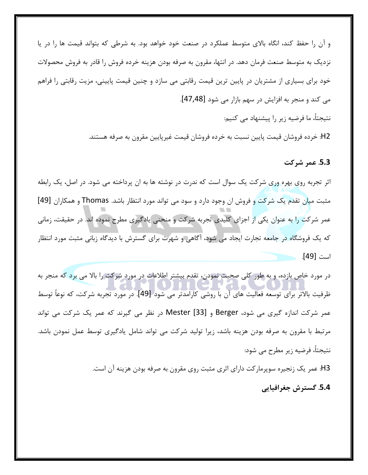و آن را حفظ کند، انگاه بالای متوسط عملکرد در صنعت خود خواهد بود. به شرطی که بتواند قیمت ها را در یا نزدیک به متوسط صنعت فرمان دهد. در انتها، مقرون به صرفه بودن هزینه خرده فروش را قادر به فروش محصولات خود برای بسیاری از مشتریان در پایین ترین قیمت رقابتی می سازد و چنین قیمت پایینی، مزیت رقابتی را فراهم می کند و منجر به افزایش در سهم بازار می شود [47,48].

نتيجتاً، ما فرضيه زير را پيشنهاد مي كنيم:

H2: خرده فروشان قيمت پايين نسبت به خرده فروشان قيمت غيرپايين مقرون به صرفه هستند.

**5.3. عمر شركت** 

اثر تجربه روی بهره وری شرکت یک سوال است که ندرت در نوشته ها به ان پرداخته می شود. در اصل، یک رابطه مثبت میان تقدم یک شرکت و فروش ان وجود دارد و سود می تواند مورد انتظار باشد. Thomas و همکاران [49] عمر شركت را به عنوان يكي از اجزاي كليدي تجربه شركت و منحني يادگيري مطرح نموده اند. در حقيقت، زماني كه يک فروشگاه در جامعه تجارت ايجاد مي شود، آگاهي و شهرت براي گسترش با ديدگاه زباني مثبت مورد انتظار است [49].

در مورد خاص بازده، و به طور كلي صحبت نمودن، تقدم بيشتر اطلاعات در مورد شركت را بالا مي برد كه منجر به ظرفيت بالاتر براي توسعه فعاليت هاي آن با روشي كارامدتر مي شود [49]. در مورد تجربه شركت، كه نوعاً توسط عمر شركت اندازه گيرى مى شود، Berger و Mester [33] در نظر مى گيرند كه عمر يك شركت مى تواند مرتبط با مقرون به صرفه بودن هزينه باشد، زيرا توليد شركت مي تواند شامل يادگيري توسط عمل نمودن باشد. نتيجتاً، فرضيه زير مطرح مي شود:

H3: عمر يک زنجيره سوپرماركت داراي اثري مثبت روي مقرون به صرفه بودن هزينه آن است.  **!56 7,18 .5.4**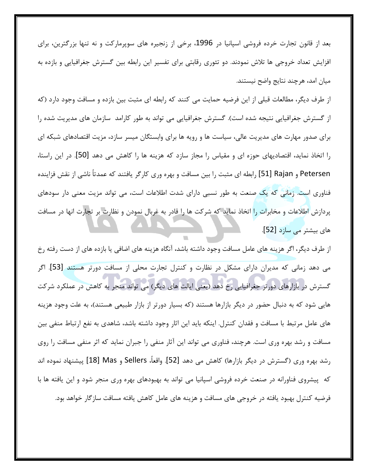بعد از قانون تجارت خرده فروشي اسپانيا در 1996، برخي از زنجيره هاي سوپرماركت و نه تنها بزرگترين، براي افزایش تعداد خروجی ها تلاش نمودند. دو تئوری رقابتی برای تفسیر این رابطه بین گسترش جغرافیایی و بازده به ميان امد، هرچند نتايج واضح نيستند.

از طرف دیگر، مطالعات قبلی از این فرضیه حمایت می کنند که رابطه ای مثبت بین بازده و مسافت وجود دارد (که از گسترش جغرافیایی نتیجه شده است). گسترش جغرافیایی می تواند به طور کارامد سازمان های مدیریت شده را برای صدور مهارت های مدیریت عالی، سیاست ها و رویه ها برای وابستگان میسر سازد، مزیت اقتصادهای شبکه ای را اتخاذ نمايد، اقتصاديهاى حوزه اى و مقياس را مجاز سازد كه هزينه ها را كاهش مى دهد [50]. در اين راستا، Petersen و 51] Rajan] رابطه اي مثبت را بين مسافت و بهره وري كارگر يافتند كه عمدتاً ناشي از نقش فزاينده فناوری است. زمانی که یک صنعت به طور نسبی دارای شدت اطلاعات است، می تواند مزیت معنی دار سودهای پردازش اطلاعات و مخابرات را اتخاذ نماید که شرکت ها را قادر به غربال نمودن و نظارت بر تجارت انها در مسافت های بیشتر می سازد [52].

از طرف ديگر، اگر هزينه هاي عامل مسافت وجود داشته باشد، آنگاه هزينه هاي اضافي يا بازده هاي از دست رفته رخ می دهد زمانی که مدیران دارای مشکل در نظارت و کنترل تجارت محلی از مسافت دورتر هستند [53]. اگر گسترش در بازارهای دورتر جغرافیایی رخ دهد (یعنی ایالت های دیگر) می تواند منجر به کاهش در عملکرد شرکت هایی شود که به دنبال حضور در دیگر بازارها هستند (که بسیار دورتر از بازار طبیعی هستند)، به علت وجود هزینه های عامل مرتبط با مسافت و فقدان کنترل. اینکه باید این اثار وجود داشته باشد، شاهدی به نفع ارتباط منفی بین مسافت و رشد بهره وری است. هرچند، فناوری می تواند این آثار منفی را جبران نماید که اثر منفی مسافت را روی رشد بهره وري (گسترش در ديگر بازارها) كاهش مي دهد [52]. واقعاً، Sellers و Mas [18] پيشنهاد نموده اند که پیشروی فناورانه در صنعت خرده فروشی اسپانیا می تواند به بهبودهای بهره وری منجر شود و این یافته ها با فرضیه کنترل بهبود یافته در خروجی های مسافت و هزینه های عامل کاهش یافته مسافت سازگار خواهد بود.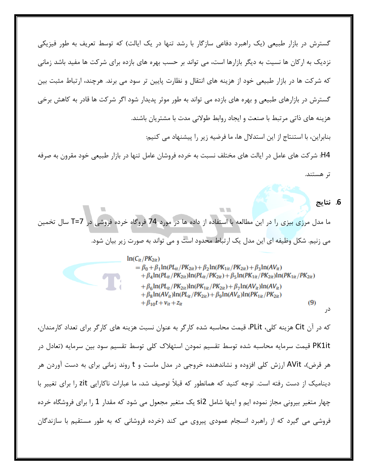گسترش در بازار طبیعی (یک راهبرد دفاعی سازگار با رشد تنها در یک ایالت) که توسط تعریف به طور فیزیکی نزدیک به ارکان ها نسیت به دیگر بازارها است، می تواند بر حسب بهره های بازده برای شرکت ها مفید باشد زمانی که شرکت ها در بازار طبیعی خود از هزینه های انتقال و نظارت پایین تر سود می برند. هرچند، ارتباط مثبت بین گسترش در بازارهای طبیعی و بهره های بازده می تواند به طور موثر پدیدار شود اگر شرکت ها قادر به کاهش برخی هزینه های ذاتی مرتبط با صنعت و ایجاد روابط طولانی مدت با مشتریان باشند.

بنابراین، با استنتاج از این استدلال ها، ما فرضیه زیر را پیشنهاد می کنیم:

H4: شركت هاي عامل در ايالت هاي مختلف نسبت به خرده فروشان عامل تنها در بازار طبيعي خود مقرون به صرفه تر هستند.

## 6. نتايج

در

ما مدل مرزي بيزي را در اين مطالعه با استفاده از داده ها در مورد 74 فروگاه خرده فروشي در T=7 سال تخمين مي زنيم. شكل وظيفه اي اين مدل يک ارتباط محدود است و مي تواند به صورت زير بيان شود.

> $ln(C_{it}/PK_{2it})$  $= \beta_0 + \beta_1 \ln (PL_{it}/PK_{2it}) + \beta_2 \ln (PK_{1it}/PK_{2it}) + \beta_3 \ln (AV_{it})$  $+\beta_4 \ln (PL_{it}/PK_{2it})\ln (PL_{it}/PK_{2it}) + \beta_5 \ln (PK_{1it}/PK_{2it})\ln (PK_{1it}/PK_{2it})$  $+\beta_6 \ln (PL_{it}/PK_{2it})\ln (PK_{1it}/PK_{2it}) + \beta_7 \ln (AV_{it})\ln (AV_{it})$  $+\beta_8 \ln(AV_{it})\ln(PL_{it}/PK_{2it}) + \beta_9 \ln(AV_{it})\ln(PK_{1it}/PK_{2it})$  $(9)$  $+\beta_{10}t + v_{it} + z_{it}$

**COLLEGE** 

که در آن Cit هزینه کلی، PLit، قیمت محاسبه شده کارگر به عنوان نسبت هزینه های کارگر برای تعداد کارمندان، PK1it قیمت سرمایه محاسبه شده توسط تقسیم نمودن استهلاک کلی توسط تقسیم سود بین سرمایه (تعادل در هر قرض)، AVit ارزش کلی افزوده و نشاندهنده خروجی در مدل ماست و t روند زمانی برای به دست اوردن هر دینامیک از دست رفته است. توجه کنید که همانطور که قبلاً توصیف شد، ما عبارات ناکارایی zit را برای تغییر با چهار متغیر بیرونی مجاز نموده ایم و اینها شامل si2 یک متغیر مجعول می شود که مقدار 1 را برای فروشگاه خرده فروشی می گیرد که از راهبرد انسجام عمودی پیروی می کند (خرده فروشانی که به طور مستقیم با سازندگان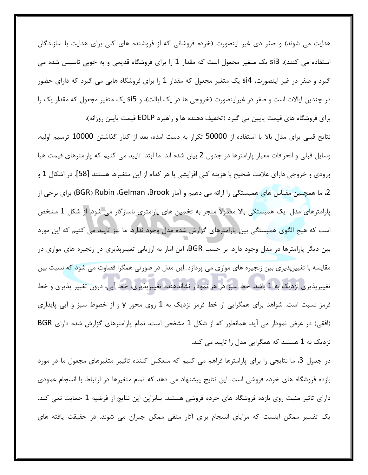هدایت می شوند) و صفر دی غیر اینصورت (خرده فروشانی که از فروشنده های کلی برای هدایت با سازندگان استفاده می کنند)، si3 یک متغیر مجعول است که مقدار 1 را برای فروشگاه قدیمی و به خوبی تاسیس شده می گیرد و صفر در غیر اینصورت، si4 یک متغیر مجعول که مقدار 1 را برای فروشگاه هایی می گیرد که دارای حضور در چندین ایالات است و صفر در غیراینصورت (خروجی ها در یک ایالت)، و si5 یک متغیر مجعول که مقدار یک را برای فروشگاه های قیمت پایین می گیرد (تخفیف دهنده ها و راهبرد EDLP قیمت پایین روزانه).

نتايج قبلي براي مدل بالا با استفاده از 50000 تكرار به دست امده، بعد از كنار گذاشتن 10000 ترسيم اوليه. وسایل قبلی و انحرافات معیار پارامترها در جدول 2 بیان شده اند. ما ابتدا تایید می کنیم که پارامترهای قیمت هیا ورودی و خروجی دارای علامت ضحیح با هزینه کلی افزایشی با هر کدام از این متغیرها هستند [58]. در اشکال 1 و 2، ما همچنین مقیاس های همبستگی را ارائه می دهیم و آمار BGR) Rubin ،Gelman ،Brook) برای برخی از پارامترهای مدل. یک همبستگی بالا معمولاً منجر به تخمین های پارامتری ناسازگار می شود. از شکل 1 مشخص است که هیچ الگوی همبستگی بین پارامترهای گزارش شده مدل وجود ندارد. ما نیز تایید می کنیم که این مورد بین دیگر پارامترها در مدل وجود دارد. بر حسب BGR، این امار به ارزیابی تغییرپذیری در زنجیره های موازی در مقايسه با تغييرپذيرى بين زنجيره هاى موازى مى پردازد. اين مدل در صورتى همگرا قضاوت مى شود كه نسبت بين تغییرپذیری نزدیک به 1 باشد. خط سبز در هر نمودار نشاندهنده تغییرپذیری، خط آبی، درون تغییر پذیری و خط قرمز نسبت است. شواهد برای همگرایی از خط قرمز نزدیک به 1 روی محور y و از خطوط سبز و آبی پایداری (افقی) در عرض نمودار می آید. همانطور که از شکل 1 مشخص است، تمام پارامترهای گزارش شده دارای BGR نزدیک به 1 هستند که همگرایی مدل را تایید می کند.

در جدول 3، ما نتايجي را براي پارامترها فراهم مي كنيم كه منعكس كننده تاثيبر متغيرهاي مجعول ما در مورد بازده فروشگاه های خرده فروشی است. این نتایج پیشنهاد می دهد که تمام متغیرها در ارتباط با انسجام عمودی دارای تاثیر مثبت روی بازده فروشگاه های خرده فروشی هستند. بنابراین این نتایج از فرضیه 1 حمایت نمی کند. یک تفسیر ممکن اینست که مزایای انسجام برای آثار منفی ممکن جبران می شوند. در حقیقت یافته های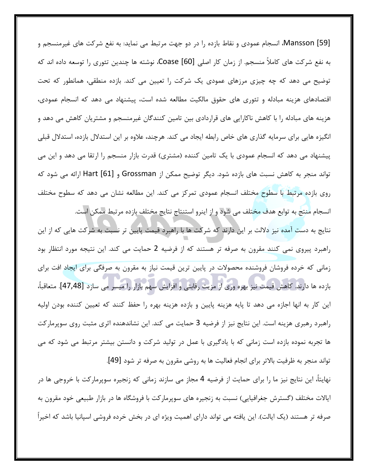[59] Mansson، انسجام عمودی و نقاط بازده را در دو جهت مرتبط می نماید: به نفع شرکت های غیرمنسجم و به نفع شركت هاي كاملأ منسجم. از زمان كار اصلي Coase [60]، نوشته ها چندين تئوري را توسعه داده اند كه توضیح می دهد که چه چیزی مرزهای عمودی یک شرکت را تعیین می کند. بازده منطقی، همانطور که تحت اقتصادهای هزینه مبادله و تئوری های حقوق مالکیت مطالعه شده است، پیشنهاد می دهد که انسجام عمودی، هزینه های مبادله را با کاهش ناکارایی های قراردادی بین تامین کنندگان غیرمنسجم و مشتریان کاهش می دهد و انگیزه هایی برای سرمایه گذاری های خاص رابطه ایجاد می کند. هرچند، علاوه بر این استدلال بازده، استدلال قبلی پیشنهاد می دهد که انسجام عمودی با یک تامین کننده (مشتری) قدرت بازار منسجم را ارتقا می دهد و این می تواند منجر به کاهش نسبت های بازده شود. دیگر توضیح ممکن از Grossman و Hart [61] ارائه می شود که روی بازده مرتبط با سطوح مختلف انسجام عمودی تمرکز می کند. این مطالعه نشان می دهد که سطوح مختلف انسجام منتج به توابع هدف مختلف می شود و از اینرو استنتاج نتایج مختلف بازده مرتبط ممکن است.

نتايج به دست آمده نيز دلالت بر اين دارند كه شركت ها با راهبرد قيمت پايين تر نسبت به شركت هايي كه از اين راهبرد پیروی نمی کنند مقرون به صرفه تر هستند که از فرضیه 2 حمایت می کند. این نتیجه مورد انتظار بود زمانی که خرده فروشان فروشنده محصولات در پایین ترین قیمت نیاز به مقرون به صرفگی برای ایجاد افت برای بازده ها دارند. كاهش قيمت نيز بهره وري از مزيت رقابتي و افزايش سهم بازار را ميسر مي سازد [47,48]. متعاقباً، این کار به انها اجازه می دهد تا پایه هزینه پایین و بازده هزینه بهره را حفظ کنند که تعیین کننده بودن اولیه راهبرد رهبری هزینه است. این نتایج نیز از فرضیه 3 حمایت می کند. این نشاندهنده اثری مثبت روی سوپرمارکت ها تجربه نموده بازده است زمانی که با یادگیری با عمل در تولید شرکت و دانستن بیشتر مرتبط می شود که می تواند منجر به ظرفیت بالاتر برای انجام فعالیت ها به روشی مقرون به صرفه تر شود [49].

نهایتاً، این نتایج نیز ما را برای حمایت از فرضیه 4 مجاز می سازند زمانی که زنجیره سوپرمارکت با خروجی ها در ایالات مختلف (گسترش جغرافیایی) نسبت به زنجیره های سوپرمارکت با فروشگاه ها در بازار طبیعی خود مقرون به صرفه تر هستند (یک ایالت). این یافته می تواند دارای اهمیت ویژه ای در بخش خرده فروشی اسپانیا باشد که اخیراً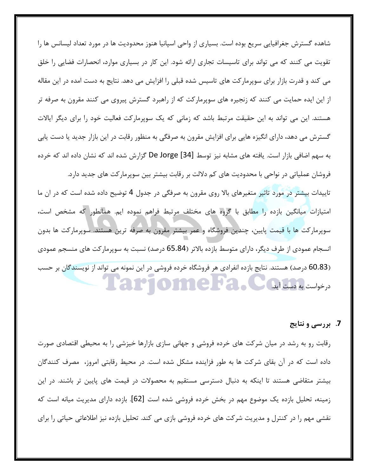شاهده گسترش جغرافیایی سریع بوده است. بسیاری از واحی اسپانیا هنوز محدودیت ها در مورد تعداد لیسانس ها را تقویت می کنند که می تواند برای تاسیسات تجاری ارائه شود. این کار در بسیاری موارد، انحصارات فضایی را خلق می کند و قدرت بازار برای سوپرمارکت های تاسیس شده قبلی را افزایش می دهد. نتایج به دست امده در این مقاله از این ایده حمایت می کنند که زنجیره های سوپرمارکت که از راهبرد گسترش پیروی می کنند مقرون به صرفه تر هستند. این می تواند به این حقیقت مرتبط باشد که زمانی که یک سوپرمارکت فعالیت خود را برای دیگر ایالات گسترش می دهد، دارای انگیزه هایی برای افزایش مقرون به صرفگی به منظور رقابت در این بازار جدید یا دست یابی به سهم اضافی بازار است. یافته های مشابه نیز توسط De Jorge [34] گزارش شده اند که نشان داده اند که خرده فروشان عملیاتی در نواحی با محدودیت های کم دلالت بر رقابت بیشتر بین سوپرمارکت های جدید دارد. تاییدات بیشتر در مورد تاثیر متغیرهای بالا روی مقرون به صرفگی در جدول 4 توضیح داده شده است که در ان ما امتیازات میانگین بازده را مطابق با گروه های مختلف مرتبط فراهم نموده ایم. همانطور که مشخص است، سوپرمارکت ها با قیمت پایین، چندین فروشگاه و عمر بیشتر مقرون به صرفه ترین هستند. سوپرمارکت ها بدون انسجام عمودی از طرف دیگر، دارای متوسط بازده بالاتر (65.84 درصد) نسبت به سوپرمارکت های منسجم عمودی (60.83 درصد) هستند. نتایج بازده انفرادی هر فروشگاه خرده فروشی در این نمونه می تواند از نویسندگان بر حسب درخواست به دست آید. است هم است

# 7. بررسي ونتايج

رقابت رو به رشد در میان شرکت های خرده فروشی و جهانی سازی بازارها خیزشی را به محیطی اقتصادی صورت داده است که در آن بقای شرکت ها به طور فزاینده مشکل شده است. در محیط رقابتی امروز، مصرف کنندگان بیشتر متقاضی هستند تا اینکه به دنبال دسترسی مستقیم به محصولات در قیمت های پایین تر باشند. در این زمینه، تحلیل بازده یک موضوع مهم در بخش خرده فروشی شده است [62]. بازده دارای مدیریت میانه است که نقشی مهم را در کنترل و مدیریت شرکت های خرده فروشی بازی می کند. تحلیل بازده نیز اطلاعاتی حیاتی را برای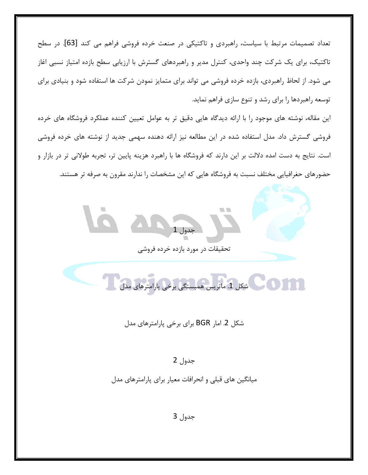تعداد تصمیمات مرتبط با سیاست، راهبردی و تاکتیکی در صنعت خرده فروشی فراهم می کند [63]. در سطح تاکتیک، برای یک شرکت چند واحدی، کنترل مدیر و راهبردهای گسترش با ارزیابی سطح بازده امتیاز نسبی اغاز می شود. از لحاظ راهبردی، بازده خرده فروشی می تواند برای متمایز نمودن شرکت ها استفاده شود و بنیادی برای توسعه راهبردها را برای رشد و تنوع سازی فراهم نماید.

این مقاله، نوشته های موجود را با ارائه دیدگاه هایی دقیق تر به عوامل تعیین کننده عملکرد فروشگاه های خرده فروشی گسترش داد. مدل استفاده شده در این مطالعه نیز ارائه دهنده سهمی جدید از نوشته های خرده فروشی است. نتايج به دست امده دلالت بر اين دارند كه فروشگاه ها با راهبرد هزينه پايين تر، تجربه طولاني تر در بازار و حضورهای حغرافیایی مختلف نسبت به فروشگاه هایی که این مشخصات را ندارند مقرون به صرفه تر هستند.

جدول 1

تحقیقات در مورد بازده خرده فروشی



شکل 2. امار BGR برای برخی پارامترهای مدل

#### جدول 2

میانگین های قبلی و انحرافات معیار برای پارامترهای مدل

جدول 3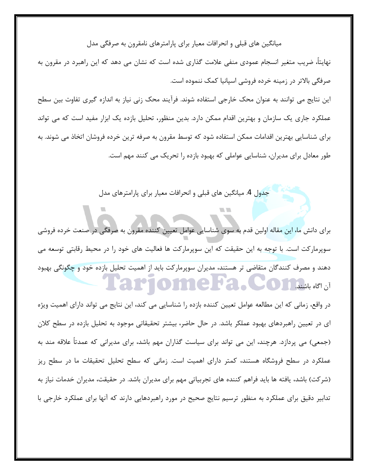## میانگین های قبلی و انحرافات معیار برای پارامترهای نامقرون به صرفگی مدل

نهايتاً، ضريب متغير انسجام عمودي منفي علامت گذاري شده است كه نشان مي دهد كه اين راهبرد در مقرون به صرفگی بالاتر در زمینه خرده فروشی اسپانیا کمک ننموده است.

ین نتایج می توانند به عنوان محک خارجی استفاده شوند. فرآیند محک زنی نیاز به اندازه گیری تفاوت بین سطح عملکرد جاری یک سازمان و بهترین اقدام ممکن دارد. بدین منظور، تحلیل بازده یک ابزار مفید است که می تواند برای شناسایی بهترین اقدامات ممکن استفاده شود که توسط مقرون به صرفه ترین خرده فروشان اتخاذ می شوند. به طور معادل برای مدیران، شناسایی عواملی که بهبود بازده را تحریک می کنند مهم است.

جدول 4. میانگین های قبلی و انحرافات معیار برای پارامترهای مدل

براي دانش ما، اين مقاله اولين قدم به سوى شناسايي عوامل تعيين كننده مقرون به صرفگي در صنعت خرده فروشي سوپرمارکت است. با توجه به این حقیقت که این سوپرمارکت ها فعالیت های خود را در محیط رقابتی توسعه می دهند و مصرف کنندگان متقاضی تر هستند، مدیران سوپرمارکت باید از اهمیت تحلیل بازده خود و چگونگی بهبود L'AIMONNER.COM ALANDI

در واقع، زمانی که این مطالعه عوامل تعیین کننده بازده را شناسایی می کند، این نتایج می تواند دارای اهمیت ویژه ی در تعیین راهبردهای بهبود عملکر باشد. در حال حاضر، بیشتر تحقیقاتی موجود به تحلیل بازده در سطح کلان  $\overline{\phantom{a}}$ (جمعی) می پردازد. هرچند، این می تواند برای سیاست گذاران مهم باشد، برای مدیرانی که عمدتاً علاقه مند به عملکرد در سطح فروشگاه هستند، کمتر دارای اهمیت است. زمانی که سطح تحلیل تحقیقات ما در سطح ریز (شركت) باشد، يافته ها بايد فراهم كننده هاي تجربياتي مهم براي مديران باشد. در حقيقت، مديران خدمات نياز به تدابیر دقیق برای عملکرد به منظور ترسیم نتایج صحیح در مورد راهبردهایی دارند که آنها برای عملکرد خارجی با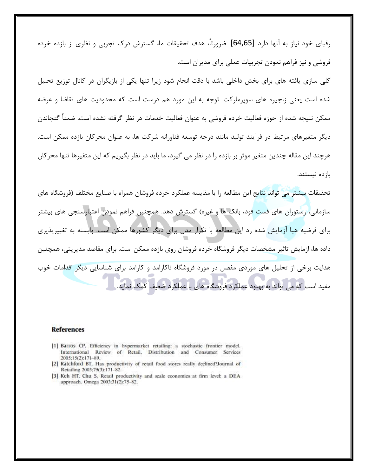رقبای خود نیاز به آنها دارد [64,65]. ضرورتاً، هدف تحقیقات ما، گسترش درک تجربی و نظری از بازده خرده فروشی و نیز فراهم نمودن تجربیات عملی برای مدیران است.

کلی سازی یافته های برای بخش داخلی باشد با دقت انجام شود زیرا تنها یکی از بازیگران در کانال توزیع تحلیل شده است یعنی زنجیره های سوپرمارکت. توجه به این مورد هم درست است که محدودیت های تقاضا و عرضه ممکن نتیجه شده از حوزه فعالیت خرده فروشی به عنوان فعالیت خدمات در نظر گرفته نشده است. ضمناً گنجاندن دیگر متغیرهای مرتبط در فرایند تولید مانند درجه توسعه فناورانه شرکت ها، به عنوان محرکان بازده ممکن است. هرچند این مقاله چندین متغیر موثر بر بازده را در نظر می گیرد، ما باید در نظر بگیریم که این متغیرها تنها محرکان باز ده نیستند.

تحقیقات بیشتر می تواند نتایج این مطالعه را با مقایسه عملکرد خرده فروشان همراه با صنایع مختلف (فروشگاه های سازمانی، رستوران های فست فود، بانک ها و غیره) گسترش دهد. همچنین فراهم نمودن اعتبارسنجی های بیشتر برای فرضیه هیا ازمایش شده رد این مطالعه با تکرار مدل برای دیگر کشورها ممکن است. وابسته به تغییرپذیری داده ها، ازمایش تاثیر مشخصات دیگر فروشگاه خرده فروشان روی بازده ممکن است. برای مقاصد مدیریتی، همچنین هدایت برخی از تحلیل های موردی مفصل در مورد فروشگاه ناکارامد و کارامد برای شناسایی دیگر اقدامات خوب مفید است که می تواند به بهبود عملکرد فروشگاه های با عملکرد ضعیف کمک نماید

#### **References**

- [1] Barros CP. Efficiency in hypermarket retailing: a stochastic frontier model. International Review of Retail, Distribution and Consumer Services 2005:15(2):171-89.
- [2] Ratchford BT. Has productivity of retail food stores really declined?Journal of Retailing 2003;79(3):171-82.
- [3] Keh HT, Chu S. Retail productivity and scale economies at firm level: a DEA approach. Omega 2003;31(2):75-82.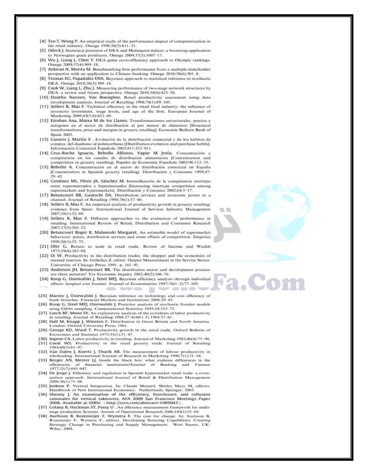- [4] Teo T, Wong P. An empirical study of the performance impact of computerization in the retail industry. Omega 1998;26(5):611-21.
- [5] Odeck J. Statistical precision of DEA and Malmquist indices: a bootstrap application to Norwegian grain producers. Omega 2009;37(5):1007-17.
- [6] Wu J, Liang L, Chen Y. DEA game cross-efficiency approach to Olympic rankings. Omega 2009;37(4):909-18.
- [7] Avkiran N, Morita M. Benchmarking firm performance from a multiple-stakeholder perspective with an application to Chinese banking. Omega 2010;38(6):501-8.
- [8] Tsionas EG, Papadakis ENA. Bayesian approach to statistical inference in stochastic DEA. Omega 2010;38(5):309-14.
- [9] Cook W, Liang L, Zhu J. Measuring performance of two-stage network structures by DEA: a review and future perspective. Omega 2010;38(6):423-30.
- [10] Donthu Naveen, Yoo Boonghee. Retail productivity assessment using data envelopment analysis. Journal of Retailing 1998;74(1):89-105.
- [11] Sellers R, Mas F. Technical efficiency in the retail food industry: the influence of inventory investment, wage levels, and age of the firm. European Journal of Marketing 2009;43(5/6):652-69.
- [12] Esteban Ana, Matea M de los Llanos. Transformaciones estructurales, precios y márgenes en el sector de distribución al por menor de alimentos [Structural transformations, price and margins in grocery retailing]. Economic Bulletin Bank of Spain 2003.
- [13] Casares J, Martin V . Evolución de la distribución comercial y de los hábitos de compra: del dualismo al polimorfismo [Distribution evolution and purchase habits]. Información Comercial Española 2003;811:323-811.
- [14] Cruz-Roche Ignacio, Rebollo Alfonso, Yagüe M Jesús. Concentración 3 competencia en los canales de distribución alimenticios [Concentration and competition in grocery retailing]. Papeles de Economía Española 2003;96:112-33.
- [15] Rebollo A. Concentración en el sector de distribución comercial en España [Concentration in Spanish grocery retailing]. Distribución y Consumo 1999;47: 29.43
- [16] Giménez ML, Pérez JA, Sánchez M. Intensificación de la competencia intertipo entre supermercados e hipermercados [Increasing intertype competition among supermarkets and hypermarkets]. Distribución y Consumo 2002;64:5-17.
- [17] Betancourt RR, Gautschi DA. Distribution services and economic power in a channel. Journal of Retailing 1998;74(1):37-60.
- [18] Sellers R, Mas F. An empirical analysis of productivity growth in grocery retailing: evidence from Spain. International Journal of Services Industry Management 2007;18(1):52-69
- [19] Sellers R, Mas F. Different approaches to the evaluation of performance in retailing, International Review of Retail, Distribution and Consumer Research 2007:17(5):503-52.
- [20] Betancourt Roger R, Malanoski Margaret. An estimable model of supermarket behaviour: prices, distribution services and some effects of competition. Empirical 1999;26(1):55-73.
- [21] Ofer G. Return to scale in retail trade. Review of Income and Wealth 1973:19(4):363-84.
- [22] Oi W. Productivity in the distribution trades: the shopper and the economies of massed reserves. In: Griliches Z, editor. Output Measurement in the Service Sector. University of Chicago Press; 1991. p. 161-91.
- [23] Anderson JH, Betancourt RR. The distribution sector and development process: are there patterns? Yes Economic Inquiry 2002;40(2):166-76.
- [24] Koop G, Osiewalski J, Steel MFJ. Bayesian efficiency analysis through individual effects: hospital cost frontier. Journal of Econometrics 1997;76(1-2):77-105. **State Control**
- [25] Marzec J, Osiewalski J. Bayesian inference on technology and cost efficiency of<br>bank branches. Financial Markets and Institutions 2008:29-43.
- [26] Koop G, Steel MFJ, Osiewalski J. Posterior analysis of stochastic frontier models using Gibbs sampling. Computational Statistics 1995;10:353-73.
- [27] Lusch RF, Moon SY. An exploratory analysis of the correlates of labor productivity<br>in retailing. Journal of Retailing 1984:37-6160 (3) 1984:37-61.
- [28] Hall M, Knapp J, Winsten C. Distribution in Great Britain and North America. London: Oxford University Press; 1961.
- [29] George KD, Ward T. Productivity growth in the retail trade. Oxford Bulletin of Economics and Statistics 1973;35(1):31-47.
- [30] Ingene CA. Labor productivity in retailing. Journal of Marketing 1982;46(4):75-90. [31] Good WS. Productivity in the retail grocery trade. Journal of Retailing 1984:60(3):81-97.
- [32] Van Dalen J, Koerts J, Thurik AR. The measurement of labour productivity in wholesaling. International Journal of Research in Marketing 1990;7(1):21-34
- [33] Berger AN, Mester LJ. Inside the black box: what explains differences in the of financial institutions?Journal of Banking and Finance efficiencies 1977:21(7):895-947.
- [34] De Jorge J. Efficiency and regulation in Spanish hypermarket retail trade: a crosssection approach. International Journal of Retail & Distribution Management 2008;36(1):71-88.
- [35] Joskow P. Vertical Integration. In: Claude Menard, Shirley Mary M, editors. Handbook of New Institutional Economics. Netherlands: Springer; 2005.
- [36] Shenoy J. An examination of the efficiency, foreclosure, and collusion rationales for vertical takeovers. AFA 2009 San Francisco Meetings Paper 2008. Available at SSRN: <http://ssrn.com/abstract=1089043 >.
- [37] Golany B, Hackman ST, Passy U , An efficiency measurement framework for multistage production Systems. Annals of Operational Research 2006;145(1):51-68.
- [38] Axelsson B, Rozemeijer F, Wynstra F. The case for change. In: Axelsson B, Rozemeijer F, Wynstra F, editors. Developing Sourcing Capabilities: Creating Strategic Change in Purchasing and Supply Management. West Sussex, UK: Wiley; 2008.